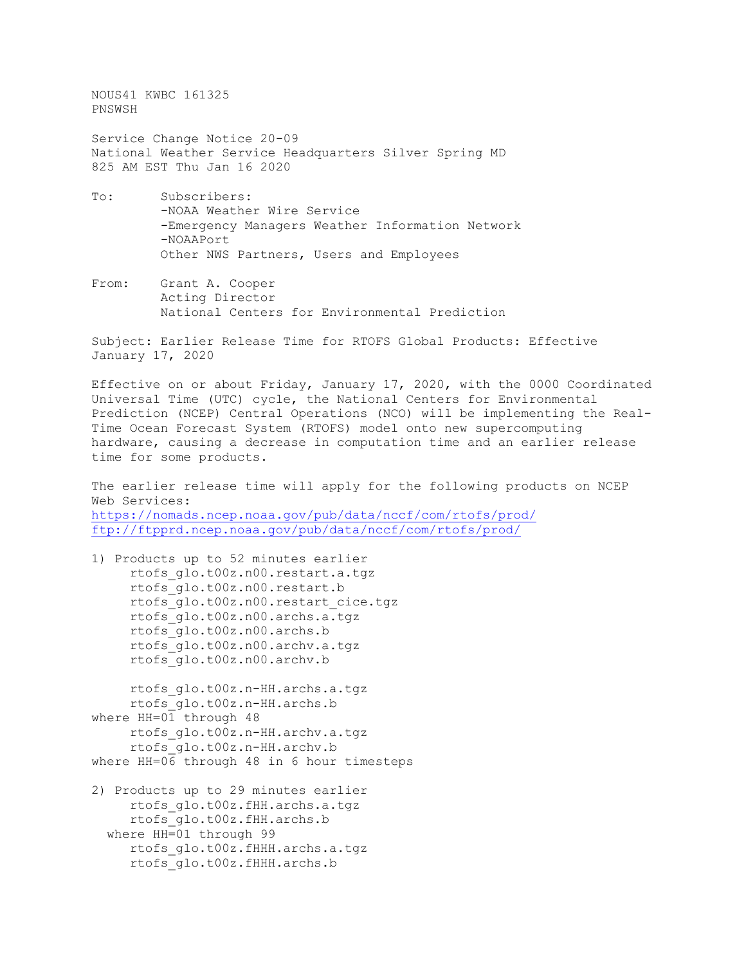NOUS41 KWBC 161325 PNSWSH

Service Change Notice 20-09 National Weather Service Headquarters Silver Spring MD 825 AM EST Thu Jan 16 2020

- To: Subscribers: -NOAA Weather Wire Service -Emergency Managers Weather Information Network -NOAAPort Other NWS Partners, Users and Employees
- From: Grant A. Cooper Acting Director National Centers for Environmental Prediction

Subject: Earlier Release Time for RTOFS Global Products: Effective January 17, 2020

Effective on or about Friday, January 17, 2020, with the 0000 Coordinated Universal Time (UTC) cycle, the National Centers for Environmental Prediction (NCEP) Central Operations (NCO) will be implementing the Real-Time Ocean Forecast System (RTOFS) model onto new supercomputing hardware, causing a decrease in computation time and an earlier release time for some products.

The earlier release time will apply for the following products on NCEP Web Services: <https://nomads.ncep.noaa.gov/pub/data/nccf/com/rtofs/prod/> <ftp://ftpprd.ncep.noaa.gov/pub/data/nccf/com/rtofs/prod/>

1) Products up to 52 minutes earlier rtofs\_glo.t00z.n00.restart.a.tgz rtofs\_glo.t00z.n00.restart.b rtofs\_glo.t00z.n00.restart\_cice.tgz rtofs\_glo.t00z.n00.archs.a.tgz rtofs\_glo.t00z.n00.archs.b rtofs\_glo.t00z.n00.archv.a.tgz rtofs\_glo.t00z.n00.archv.b

 rtofs\_glo.t00z.n-HH.archs.a.tgz rtofs\_glo.t00z.n-HH.archs.b where HH=01 through 48 rtofs\_glo.t00z.n-HH.archv.a.tgz rtofs\_glo.t00z.n-HH.archv.b where HH=06 through 48 in 6 hour timesteps

2) Products up to 29 minutes earlier rtofs\_glo.t00z.fHH.archs.a.tgz rtofs\_glo.t00z.fHH.archs.b where HH=01 through 99 rtofs\_glo.t00z.fHHH.archs.a.tgz rtofs\_glo.t00z.fHHH.archs.b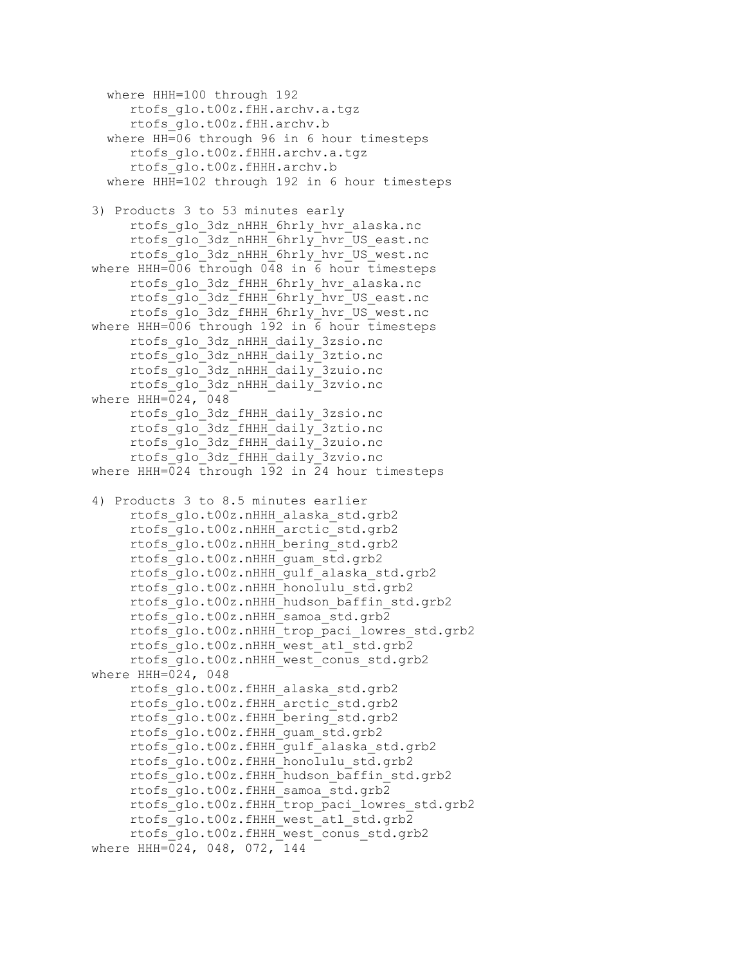where HHH=100 through 192 rtofs\_glo.t00z.fHH.archv.a.tgz rtofs\_glo.t00z.fHH.archv.b where HH=06 through 96 in 6 hour timesteps rtofs\_glo.t00z.fHHH.archv.a.tgz rtofs\_glo.t00z.fHHH.archv.b where HHH=102 through 192 in 6 hour timesteps 3) Products 3 to 53 minutes early rtofs\_glo\_3dz\_nHHH\_6hrly\_hvr\_alaska.nc rtofs\_glo\_3dz\_nHHH\_6hrly\_hvr\_US\_east.nc rtofs\_glo\_3dz\_nHHH\_6hrly\_hvr\_US\_west.nc where HHH=006 through 048 in 6 hour timesteps rtofs\_glo\_3dz\_fHHH\_6hrly\_hvr\_alaska.nc rtofs\_glo\_3dz\_fHHH\_6hrly\_hvr\_US\_east.nc rtofs\_glo\_3dz\_fHHH\_6hrly\_hvr\_US\_west.nc where HHH=006 through 192 in 6 hour timesteps rtofs\_glo\_3dz\_nHHH\_daily\_3zsio.nc rtofs\_glo\_3dz\_nHHH\_daily\_3ztio.nc rtofs\_glo\_3dz\_nHHH\_daily\_3zuio.nc rtofs\_glo\_3dz\_nHHH\_daily\_3zvio.nc where HHH=024, 048 rtofs\_glo\_3dz\_fHHH\_daily\_3zsio.nc rtofs\_glo\_3dz\_fHHH\_daily\_3ztio.nc rtofs\_glo\_3dz\_fHHH\_daily\_3zuio.nc rtofs\_glo\_3dz\_fHHH\_daily\_3zvio.nc where HHH=024 through 192 in 24 hour timesteps 4) Products 3 to 8.5 minutes earlier rtofs\_glo.t00z.nHHH\_alaska\_std.grb2 rtofs\_glo.t00z.nHHH\_arctic\_std.grb2 rtofs\_glo.t00z.nHHH\_bering\_std.grb2 rtofs\_glo.t00z.nHHH\_guam\_std.grb2 rtofs\_glo.t00z.nHHH\_gulf\_alaska\_std.grb2 rtofs\_glo.t00z.nHHH\_honolulu\_std.grb2 rtofs glo.t00z.nHHH hudson baffin std.grb2 rtofs\_glo.t00z.nHHH\_samoa\_std.grb2 rtofs\_glo.t00z.nHHH\_trop\_paci\_lowres\_std.grb2 rtofs\_glo.t00z.nHHH\_west\_atl\_std.grb2 rtofs\_glo.t00z.nHHH\_west\_conus\_std.grb2 where HHH=024, 048 rtofs\_glo.t00z.fHHH\_alaska\_std.grb2 rtofs\_glo.t00z.fHHH\_arctic\_std.grb2 rtofs\_glo.t00z.fHHH\_bering\_std.grb2 rtofs\_glo.t00z.fHHH\_guam\_std.grb2 rtofs\_glo.t00z.fHHH\_gulf\_alaska\_std.grb2 rtofs\_glo.t00z.fHHH\_honolulu\_std.grb2 rtofs\_glo.t00z.fHHH\_hudson\_baffin\_std.grb2 rtofs\_glo.t00z.fHHH\_samoa\_std.grb2 rtofs\_glo.t00z.fHHH\_trop\_paci\_lowres\_std.grb2 rtofs\_glo.t00z.fHHH\_west\_atl\_std.grb2 rtofs\_glo.t00z.fHHH\_west\_conus\_std.grb2 where HHH= $\sqrt{024}$ , 048, 072, 144